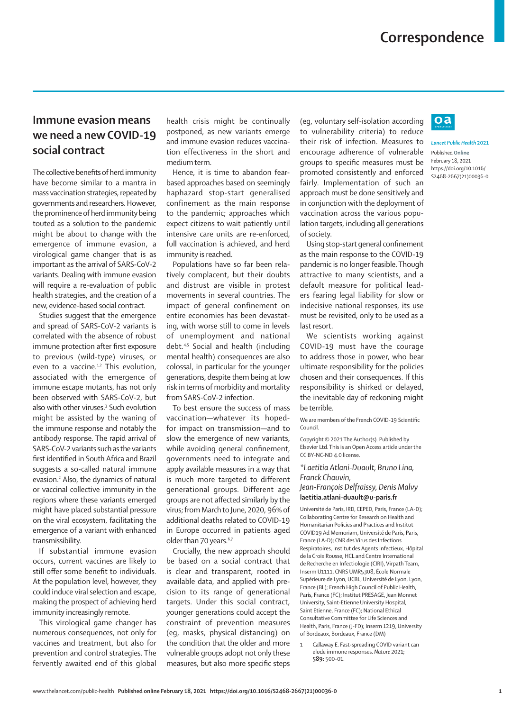## **Immune evasion means we need a new COVID-19 social contract**

The collective benefits of herd immunity have become similar to a mantra in mass vaccination strategies, repeated by governments and researchers. However, the prominence of herd immunity being touted as a solution to the pandemic might be about to change with the emergence of immune evasion, a virological game changer that is as important as the arrival of SARS-CoV-2 variants. Dealing with immune evasion will require a re-evaluation of public health strategies, and the creation of a new, evidence-based social contract.

Studies suggest that the emergence and spread of SARS-CoV-2 variants is correlated with the absence of robust immune protection after first exposure to previous (wild-type) viruses, or even to a vaccine.<sup>1,2</sup> This evolution, associated with the emergence of immune escape mutants, has not only been observed with SARS-CoV-2, but also with other viruses.<sup>3</sup> Such evolution might be assisted by the waning of the immune response and notably the antibody response. The rapid arrival of SARS-CoV-2 variants such as the variants first identified in South Africa and Brazil suggests a so-called natural immune evasion.<sup>2</sup> Also, the dynamics of natural or vaccinal collective immunity in the regions where these variants emerged might have placed substantial pressure on the viral ecosystem, facilitating the emergence of a variant with enhanced transmissibility.

If substantial immune evasion occurs, current vaccines are likely to still offer some benefit to individuals. At the population level, however, they could induce viral selection and escape, making the prospect of achieving herd immunity increasingly remote.

This virological game changer has numerous consequences, not only for vaccines and treatment, but also for prevention and control strategies. The fervently awaited end of this global

health crisis might be continually postponed, as new variants emerge and immune evasion reduces vaccination effectiveness in the short and medium term.

Hence, it is time to abandon fearbased approaches based on seemingly haphazard stop-start generalised confinement as the main response to the pandemic; approaches which expect citizens to wait patiently until intensive care units are re-enforced, full vaccination is achieved, and herd immunity is reached.

Populations have so far been relatively complacent, but their doubts and distrust are visible in protest movements in several countries. The impact of general confinement on entire economies has been devastating, with worse still to come in levels of unemployment and national debt.4,5 Social and health (including mental health) consequences are also colossal, in particular for the younger generations, despite them being at low risk in terms of morbidity and mortality from SARS-CoV-2 infection.

To best ensure the success of mass vaccination—whatever its hopedfor impact on transmission—and to slow the emergence of new variants, while avoiding general confinement, governments need to integrate and apply available measures in a way that is much more targeted to different generational groups. Different age groups are not affected similarly by the virus; from March to June, 2020, 96% of additional deaths related to COVID-19 in Europe occurred in patients aged older than 70 years.<sup>6,7</sup>

Crucially, the new approach should be based on a social contract that is clear and transparent, rooted in available data, and applied with precision to its range of generational targets. Under this social contract, younger generations could accept the constraint of prevention measures (eg, masks, physical distancing) on the condition that the older and more vulnerable groups adopt not only these measures, but also more specific steps

(eg, voluntary self-isolation according to vulnerability criteria) to reduce their risk of infection. Measures to encourage adherence of vulnerable groups to specific measures must be promoted consistently and enforced fairly. Implementation of such an approach must be done sensitively and in conjunction with the deployment of vaccination across the various population targets, including all generations of society.

Using stop-start general confinement as the main response to the COVID-19 pandemic is no longer feasible. Though attractive to many scientists, and a default measure for political leaders fearing legal liability for slow or indecisive national responses, its use must be revisited, only to be used as a last resort.

We scientists working against COVID-19 must have the courage to address those in power, who bear ultimate responsibility for the policies chosen and their consequences. If this responsibility is shirked or delayed, the inevitable day of reckoning might be terrible.

We are members of the French COVID-19 Scientific Council.

Copyright © 2021 The Author(s). Published by Elsevier Ltd. This is an Open Access article under the CC BY-NC-ND 4.0 license

*\*Laetitia Atlani-Duault, Bruno Lina, Franck Chauvin,* 

*Jean-François Delfraissy, Denis Malvy* **laetitia.atlani-duault@u-paris.fr**

Université de Paris, IRD, CEPED, Paris, France (LA-D); Collaborating Centre for Research on Health and Humanitarian Policies and Practices and Institut COVID19 Ad Memoriam, Université de Paris, Paris, France (LA-D); CNR des Virus des Infections Respiratoires, Institut des Agents Infectieux, Hôpital de la Croix Rousse, HCL and Centre International de Recherche en Infectiologie (CIRI), Virpath Team, Inserm U1111, CNRS UMR5308, École Normale Supérieure de Lyon, UCBL, Université de Lyon, Lyon, France (BL); French High Council of Public Health, Paris, France (FC); Institut PRESAGE, Jean Monnet University, Saint-Etienne University Hospital, Saint Etienne, France (FC); National Ethical Consultative Committee for Life Sciences and Health, Paris, France (J-FD); Inserm 1219, University of Bordeaux, Bordeaux, France (DM)

1 Callaway E. Fast-spreading COVID variant can elude immune responses. *Nature* 2021; **589:** 500–01.



*Lancet Public Health* **2021** Published **Online** February 18, 2021 https://doi.org/10.1016/ S2468-2667(21)00036-0